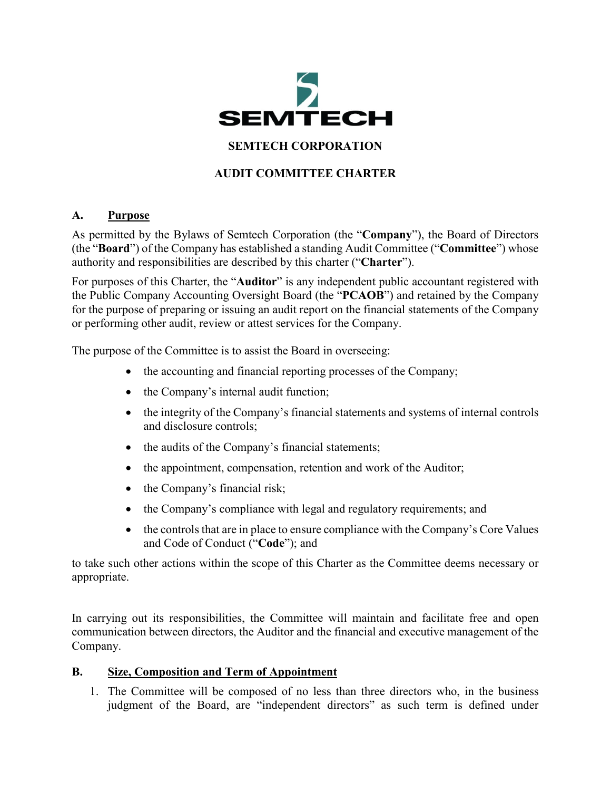

# **SEMTECH CORPORATION**

# **AUDIT COMMITTEE CHARTER**

# **A. Purpose**

As permitted by the Bylaws of Semtech Corporation (the "**Company**"), the Board of Directors (the "**Board**") of the Company has established a standing Audit Committee ("**Committee**") whose authority and responsibilities are described by this charter ("**Charter**").

For purposes of this Charter, the "**Auditor**" is any independent public accountant registered with the Public Company Accounting Oversight Board (the "**PCAOB**") and retained by the Company for the purpose of preparing or issuing an audit report on the financial statements of the Company or performing other audit, review or attest services for the Company.

The purpose of the Committee is to assist the Board in overseeing:

- the accounting and financial reporting processes of the Company;
- the Company's internal audit function;
- the integrity of the Company's financial statements and systems of internal controls and disclosure controls;
- the audits of the Company's financial statements;
- the appointment, compensation, retention and work of the Auditor;
- the Company's financial risk;
- the Company's compliance with legal and regulatory requirements; and
- the controls that are in place to ensure compliance with the Company's Core Values and Code of Conduct ("**Code**"); and

to take such other actions within the scope of this Charter as the Committee deems necessary or appropriate.

In carrying out its responsibilities, the Committee will maintain and facilitate free and open communication between directors, the Auditor and the financial and executive management of the Company.

# **B. Size, Composition and Term of Appointment**

1. The Committee will be composed of no less than three directors who, in the business judgment of the Board, are "independent directors" as such term is defined under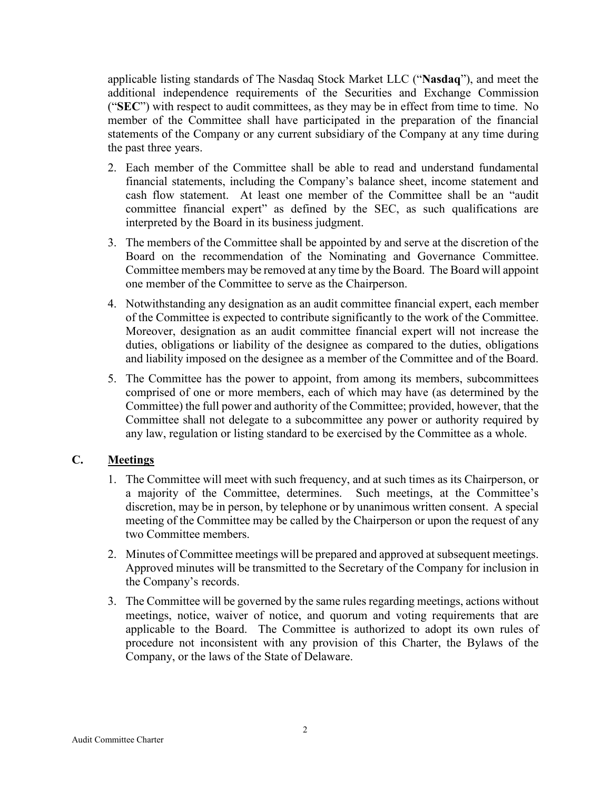applicable listing standards of The Nasdaq Stock Market LLC ("**Nasdaq**"), and meet the additional independence requirements of the Securities and Exchange Commission ("**SEC**") with respect to audit committees, as they may be in effect from time to time. No member of the Committee shall have participated in the preparation of the financial statements of the Company or any current subsidiary of the Company at any time during the past three years.

- 2. Each member of the Committee shall be able to read and understand fundamental financial statements, including the Company's balance sheet, income statement and cash flow statement. At least one member of the Committee shall be an "audit committee financial expert" as defined by the SEC, as such qualifications are interpreted by the Board in its business judgment.
- 3. The members of the Committee shall be appointed by and serve at the discretion of the Board on the recommendation of the Nominating and Governance Committee. Committee members may be removed at any time by the Board. The Board will appoint one member of the Committee to serve as the Chairperson.
- 4. Notwithstanding any designation as an audit committee financial expert, each member of the Committee is expected to contribute significantly to the work of the Committee. Moreover, designation as an audit committee financial expert will not increase the duties, obligations or liability of the designee as compared to the duties, obligations and liability imposed on the designee as a member of the Committee and of the Board.
- 5. The Committee has the power to appoint, from among its members, subcommittees comprised of one or more members, each of which may have (as determined by the Committee) the full power and authority of the Committee; provided, however, that the Committee shall not delegate to a subcommittee any power or authority required by any law, regulation or listing standard to be exercised by the Committee as a whole.

# **C. Meetings**

- 1. The Committee will meet with such frequency, and at such times as its Chairperson, or a majority of the Committee, determines. Such meetings, at the Committee's discretion, may be in person, by telephone or by unanimous written consent. A special meeting of the Committee may be called by the Chairperson or upon the request of any two Committee members.
- 2. Minutes of Committee meetings will be prepared and approved at subsequent meetings. Approved minutes will be transmitted to the Secretary of the Company for inclusion in the Company's records.
- 3. The Committee will be governed by the same rules regarding meetings, actions without meetings, notice, waiver of notice, and quorum and voting requirements that are applicable to the Board. The Committee is authorized to adopt its own rules of procedure not inconsistent with any provision of this Charter, the Bylaws of the Company, or the laws of the State of Delaware.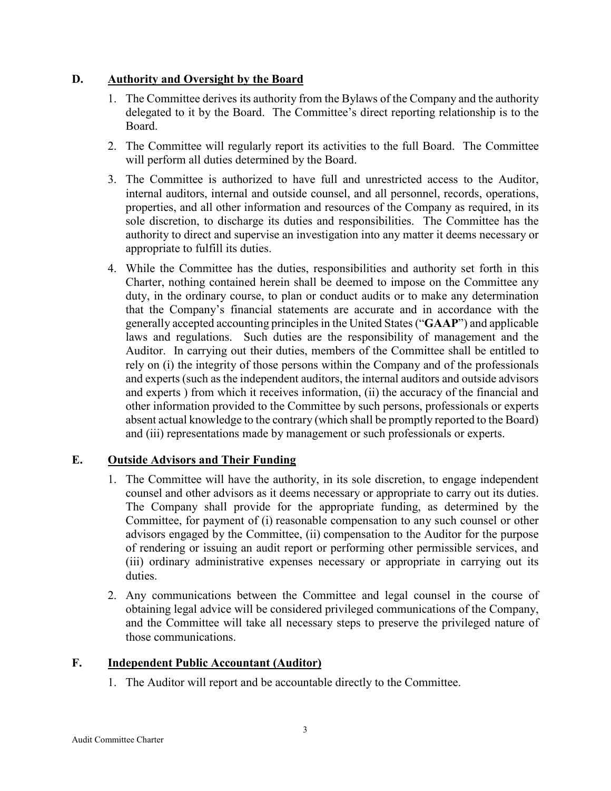### **D. Authority and Oversight by the Board**

- 1. The Committee derives its authority from the Bylaws of the Company and the authority delegated to it by the Board. The Committee's direct reporting relationship is to the Board.
- 2. The Committee will regularly report its activities to the full Board. The Committee will perform all duties determined by the Board.
- 3. The Committee is authorized to have full and unrestricted access to the Auditor, internal auditors, internal and outside counsel, and all personnel, records, operations, properties, and all other information and resources of the Company as required, in its sole discretion, to discharge its duties and responsibilities. The Committee has the authority to direct and supervise an investigation into any matter it deems necessary or appropriate to fulfill its duties.
- 4. While the Committee has the duties, responsibilities and authority set forth in this Charter, nothing contained herein shall be deemed to impose on the Committee any duty, in the ordinary course, to plan or conduct audits or to make any determination that the Company's financial statements are accurate and in accordance with the generally accepted accounting principles in the United States ("**GAAP**") and applicable laws and regulations. Such duties are the responsibility of management and the Auditor. In carrying out their duties, members of the Committee shall be entitled to rely on (i) the integrity of those persons within the Company and of the professionals and experts (such as the independent auditors, the internal auditors and outside advisors and experts ) from which it receives information, (ii) the accuracy of the financial and other information provided to the Committee by such persons, professionals or experts absent actual knowledge to the contrary (which shall be promptly reported to the Board) and (iii) representations made by management or such professionals or experts.

# **E. Outside Advisors and Their Funding**

- 1. The Committee will have the authority, in its sole discretion, to engage independent counsel and other advisors as it deems necessary or appropriate to carry out its duties. The Company shall provide for the appropriate funding, as determined by the Committee, for payment of (i) reasonable compensation to any such counsel or other advisors engaged by the Committee, (ii) compensation to the Auditor for the purpose of rendering or issuing an audit report or performing other permissible services, and (iii) ordinary administrative expenses necessary or appropriate in carrying out its duties.
- 2. Any communications between the Committee and legal counsel in the course of obtaining legal advice will be considered privileged communications of the Company, and the Committee will take all necessary steps to preserve the privileged nature of those communications.

# **F. Independent Public Accountant (Auditor)**

1. The Auditor will report and be accountable directly to the Committee.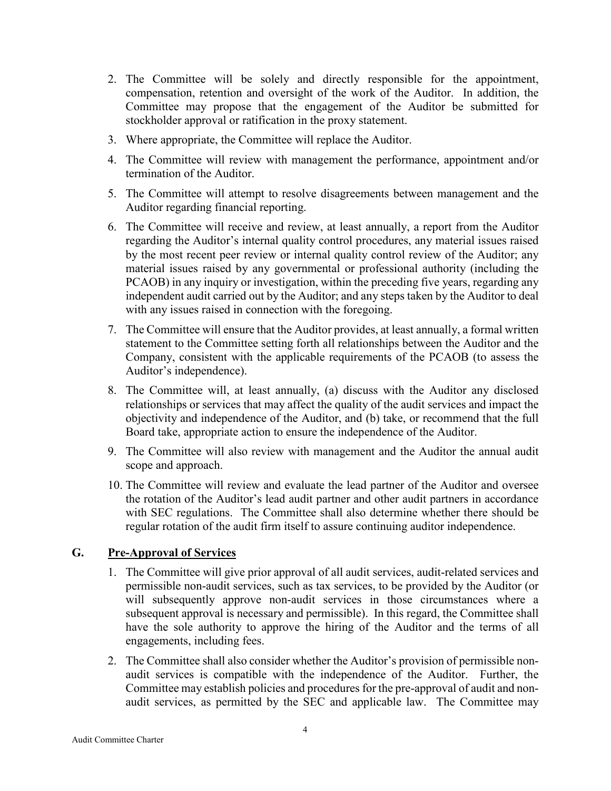- 2. The Committee will be solely and directly responsible for the appointment, compensation, retention and oversight of the work of the Auditor. In addition, the Committee may propose that the engagement of the Auditor be submitted for stockholder approval or ratification in the proxy statement.
- 3. Where appropriate, the Committee will replace the Auditor.
- 4. The Committee will review with management the performance, appointment and/or termination of the Auditor.
- 5. The Committee will attempt to resolve disagreements between management and the Auditor regarding financial reporting.
- 6. The Committee will receive and review, at least annually, a report from the Auditor regarding the Auditor's internal quality control procedures, any material issues raised by the most recent peer review or internal quality control review of the Auditor; any material issues raised by any governmental or professional authority (including the PCAOB) in any inquiry or investigation, within the preceding five years, regarding any independent audit carried out by the Auditor; and any steps taken by the Auditor to deal with any issues raised in connection with the foregoing.
- 7. The Committee will ensure that the Auditor provides, at least annually, a formal written statement to the Committee setting forth all relationships between the Auditor and the Company, consistent with the applicable requirements of the PCAOB (to assess the Auditor's independence).
- 8. The Committee will, at least annually, (a) discuss with the Auditor any disclosed relationships or services that may affect the quality of the audit services and impact the objectivity and independence of the Auditor, and (b) take, or recommend that the full Board take, appropriate action to ensure the independence of the Auditor.
- 9. The Committee will also review with management and the Auditor the annual audit scope and approach.
- 10. The Committee will review and evaluate the lead partner of the Auditor and oversee the rotation of the Auditor's lead audit partner and other audit partners in accordance with SEC regulations. The Committee shall also determine whether there should be regular rotation of the audit firm itself to assure continuing auditor independence.

# **G. Pre-Approval of Services**

- 1. The Committee will give prior approval of all audit services, audit-related services and permissible non-audit services, such as tax services, to be provided by the Auditor (or will subsequently approve non-audit services in those circumstances where a subsequent approval is necessary and permissible). In this regard, the Committee shall have the sole authority to approve the hiring of the Auditor and the terms of all engagements, including fees.
- 2. The Committee shall also consider whether the Auditor's provision of permissible nonaudit services is compatible with the independence of the Auditor. Further, the Committee may establish policies and procedures for the pre-approval of audit and nonaudit services, as permitted by the SEC and applicable law. The Committee may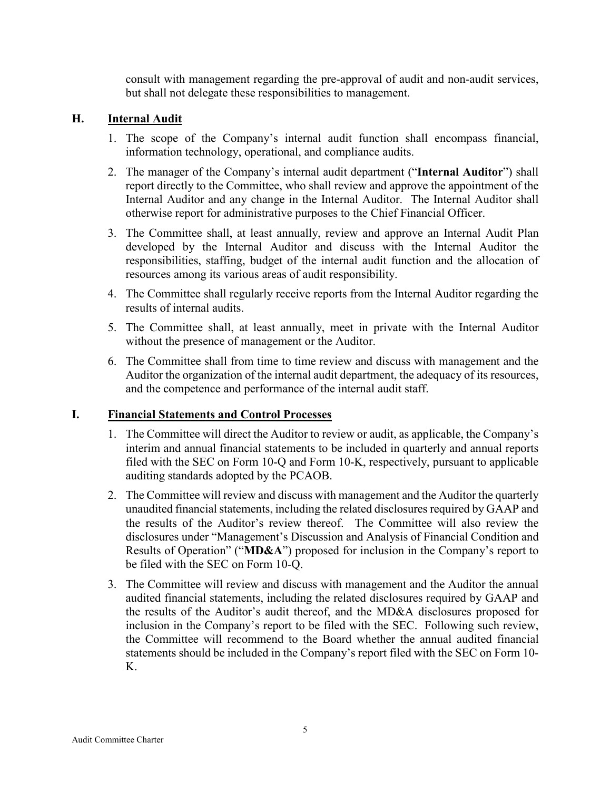consult with management regarding the pre-approval of audit and non-audit services, but shall not delegate these responsibilities to management.

### **H. Internal Audit**

- 1. The scope of the Company's internal audit function shall encompass financial, information technology, operational, and compliance audits.
- 2. The manager of the Company's internal audit department ("**Internal Auditor**") shall report directly to the Committee, who shall review and approve the appointment of the Internal Auditor and any change in the Internal Auditor. The Internal Auditor shall otherwise report for administrative purposes to the Chief Financial Officer.
- 3. The Committee shall, at least annually, review and approve an Internal Audit Plan developed by the Internal Auditor and discuss with the Internal Auditor the responsibilities, staffing, budget of the internal audit function and the allocation of resources among its various areas of audit responsibility.
- 4. The Committee shall regularly receive reports from the Internal Auditor regarding the results of internal audits.
- 5. The Committee shall, at least annually, meet in private with the Internal Auditor without the presence of management or the Auditor.
- 6. The Committee shall from time to time review and discuss with management and the Auditor the organization of the internal audit department, the adequacy of its resources, and the competence and performance of the internal audit staff.

#### **I. Financial Statements and Control Processes**

- 1. The Committee will direct the Auditor to review or audit, as applicable, the Company's interim and annual financial statements to be included in quarterly and annual reports filed with the SEC on Form 10-Q and Form 10-K, respectively, pursuant to applicable auditing standards adopted by the PCAOB.
- 2. The Committee will review and discuss with management and the Auditor the quarterly unaudited financial statements, including the related disclosures required by GAAP and the results of the Auditor's review thereof. The Committee will also review the disclosures under "Management's Discussion and Analysis of Financial Condition and Results of Operation" ("**MD&A**") proposed for inclusion in the Company's report to be filed with the SEC on Form 10-Q.
- 3. The Committee will review and discuss with management and the Auditor the annual audited financial statements, including the related disclosures required by GAAP and the results of the Auditor's audit thereof, and the MD&A disclosures proposed for inclusion in the Company's report to be filed with the SEC. Following such review, the Committee will recommend to the Board whether the annual audited financial statements should be included in the Company's report filed with the SEC on Form 10- K.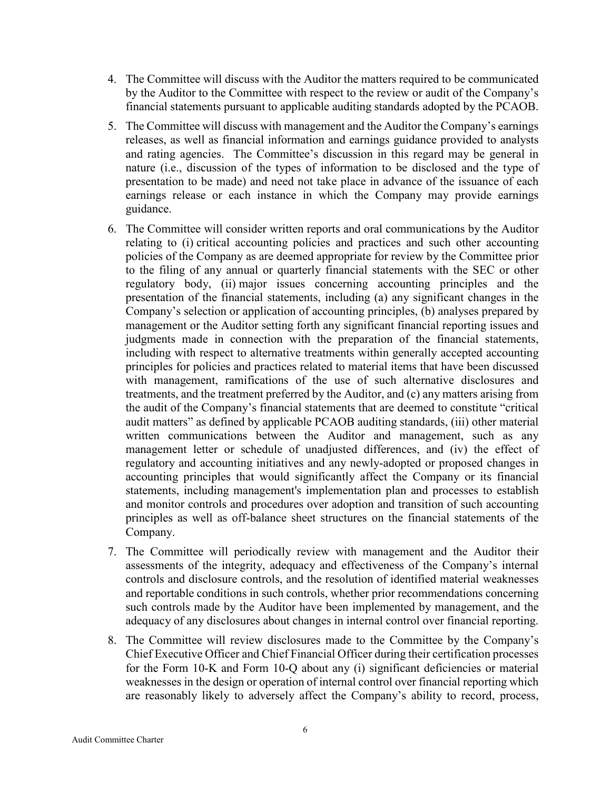- 4. The Committee will discuss with the Auditor the matters required to be communicated by the Auditor to the Committee with respect to the review or audit of the Company's financial statements pursuant to applicable auditing standards adopted by the PCAOB.
- 5. The Committee will discuss with management and the Auditor the Company's earnings releases, as well as financial information and earnings guidance provided to analysts and rating agencies. The Committee's discussion in this regard may be general in nature (i.e., discussion of the types of information to be disclosed and the type of presentation to be made) and need not take place in advance of the issuance of each earnings release or each instance in which the Company may provide earnings guidance.
- 6. The Committee will consider written reports and oral communications by the Auditor relating to (i) critical accounting policies and practices and such other accounting policies of the Company as are deemed appropriate for review by the Committee prior to the filing of any annual or quarterly financial statements with the SEC or other regulatory body, (ii) major issues concerning accounting principles and the presentation of the financial statements, including (a) any significant changes in the Company's selection or application of accounting principles, (b) analyses prepared by management or the Auditor setting forth any significant financial reporting issues and judgments made in connection with the preparation of the financial statements, including with respect to alternative treatments within generally accepted accounting principles for policies and practices related to material items that have been discussed with management, ramifications of the use of such alternative disclosures and treatments, and the treatment preferred by the Auditor, and (c) any matters arising from the audit of the Company's financial statements that are deemed to constitute "critical audit matters" as defined by applicable PCAOB auditing standards, (iii) other material written communications between the Auditor and management, such as any management letter or schedule of unadjusted differences, and (iv) the effect of regulatory and accounting initiatives and any newly-adopted or proposed changes in accounting principles that would significantly affect the Company or its financial statements, including management's implementation plan and processes to establish and monitor controls and procedures over adoption and transition of such accounting principles as well as off-balance sheet structures on the financial statements of the Company.
- 7. The Committee will periodically review with management and the Auditor their assessments of the integrity, adequacy and effectiveness of the Company's internal controls and disclosure controls, and the resolution of identified material weaknesses and reportable conditions in such controls, whether prior recommendations concerning such controls made by the Auditor have been implemented by management, and the adequacy of any disclosures about changes in internal control over financial reporting.
- 8. The Committee will review disclosures made to the Committee by the Company's Chief Executive Officer and Chief Financial Officer during their certification processes for the Form 10-K and Form 10-Q about any (i) significant deficiencies or material weaknesses in the design or operation of internal control over financial reporting which are reasonably likely to adversely affect the Company's ability to record, process,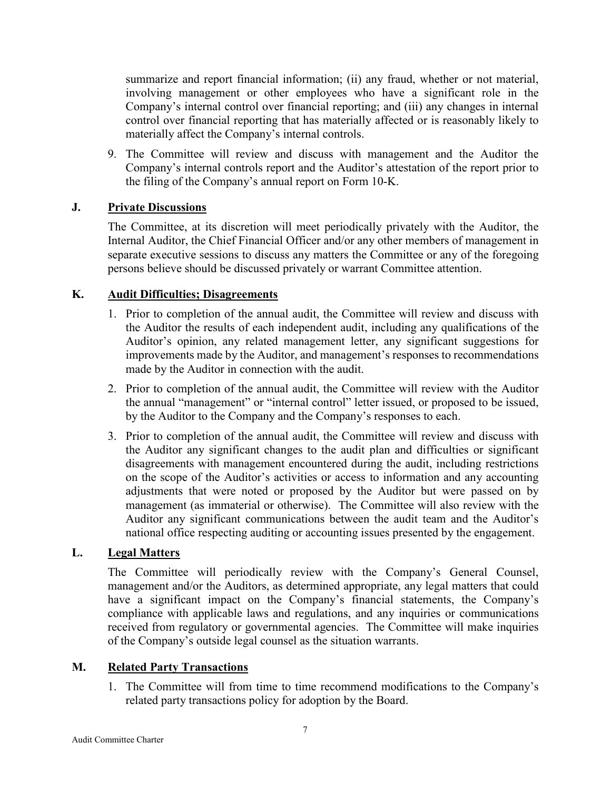summarize and report financial information; (ii) any fraud, whether or not material, involving management or other employees who have a significant role in the Company's internal control over financial reporting; and (iii) any changes in internal control over financial reporting that has materially affected or is reasonably likely to materially affect the Company's internal controls.

9. The Committee will review and discuss with management and the Auditor the Company's internal controls report and the Auditor's attestation of the report prior to the filing of the Company's annual report on Form 10-K.

### **J. Private Discussions**

The Committee, at its discretion will meet periodically privately with the Auditor, the Internal Auditor, the Chief Financial Officer and/or any other members of management in separate executive sessions to discuss any matters the Committee or any of the foregoing persons believe should be discussed privately or warrant Committee attention.

### **K. Audit Difficulties; Disagreements**

- 1. Prior to completion of the annual audit, the Committee will review and discuss with the Auditor the results of each independent audit, including any qualifications of the Auditor's opinion, any related management letter, any significant suggestions for improvements made by the Auditor, and management's responses to recommendations made by the Auditor in connection with the audit.
- 2. Prior to completion of the annual audit, the Committee will review with the Auditor the annual "management" or "internal control" letter issued, or proposed to be issued, by the Auditor to the Company and the Company's responses to each.
- 3. Prior to completion of the annual audit, the Committee will review and discuss with the Auditor any significant changes to the audit plan and difficulties or significant disagreements with management encountered during the audit, including restrictions on the scope of the Auditor's activities or access to information and any accounting adjustments that were noted or proposed by the Auditor but were passed on by management (as immaterial or otherwise). The Committee will also review with the Auditor any significant communications between the audit team and the Auditor's national office respecting auditing or accounting issues presented by the engagement.

#### **L. Legal Matters**

The Committee will periodically review with the Company's General Counsel, management and/or the Auditors, as determined appropriate, any legal matters that could have a significant impact on the Company's financial statements, the Company's compliance with applicable laws and regulations, and any inquiries or communications received from regulatory or governmental agencies. The Committee will make inquiries of the Company's outside legal counsel as the situation warrants.

# **M. Related Party Transactions**

1. The Committee will from time to time recommend modifications to the Company's related party transactions policy for adoption by the Board.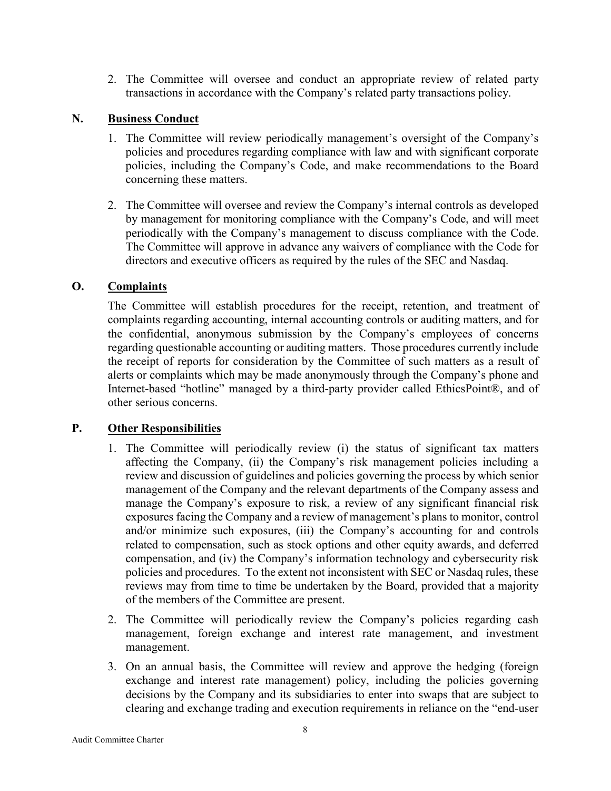2. The Committee will oversee and conduct an appropriate review of related party transactions in accordance with the Company's related party transactions policy.

### **N. Business Conduct**

- 1. The Committee will review periodically management's oversight of the Company's policies and procedures regarding compliance with law and with significant corporate policies, including the Company's Code, and make recommendations to the Board concerning these matters.
- 2. The Committee will oversee and review the Company's internal controls as developed by management for monitoring compliance with the Company's Code, and will meet periodically with the Company's management to discuss compliance with the Code. The Committee will approve in advance any waivers of compliance with the Code for directors and executive officers as required by the rules of the SEC and Nasdaq.

#### **O. Complaints**

The Committee will establish procedures for the receipt, retention, and treatment of complaints regarding accounting, internal accounting controls or auditing matters, and for the confidential, anonymous submission by the Company's employees of concerns regarding questionable accounting or auditing matters. Those procedures currently include the receipt of reports for consideration by the Committee of such matters as a result of alerts or complaints which may be made anonymously through the Company's phone and Internet-based "hotline" managed by a third-party provider called EthicsPoint®, and of other serious concerns.

#### **P. Other Responsibilities**

- 1. The Committee will periodically review (i) the status of significant tax matters affecting the Company, (ii) the Company's risk management policies including a review and discussion of guidelines and policies governing the process by which senior management of the Company and the relevant departments of the Company assess and manage the Company's exposure to risk, a review of any significant financial risk exposures facing the Company and a review of management's plans to monitor, control and/or minimize such exposures, (iii) the Company's accounting for and controls related to compensation, such as stock options and other equity awards, and deferred compensation, and (iv) the Company's information technology and cybersecurity risk policies and procedures. To the extent not inconsistent with SEC or Nasdaq rules, these reviews may from time to time be undertaken by the Board, provided that a majority of the members of the Committee are present.
- 2. The Committee will periodically review the Company's policies regarding cash management, foreign exchange and interest rate management, and investment management.
- 3. On an annual basis, the Committee will review and approve the hedging (foreign exchange and interest rate management) policy, including the policies governing decisions by the Company and its subsidiaries to enter into swaps that are subject to clearing and exchange trading and execution requirements in reliance on the "end-user